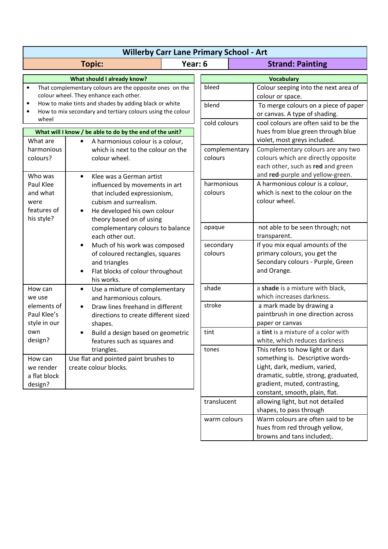| <b>Willerby Carr Lane Primary School - Art</b>                                                                                                                                                                                                                           |                                                                                                                                                                                                            |                                       |                          |                   |                                                                                                                                                                                                                 |
|--------------------------------------------------------------------------------------------------------------------------------------------------------------------------------------------------------------------------------------------------------------------------|------------------------------------------------------------------------------------------------------------------------------------------------------------------------------------------------------------|---------------------------------------|--------------------------|-------------------|-----------------------------------------------------------------------------------------------------------------------------------------------------------------------------------------------------------------|
| Year: 6<br><b>Topic:</b>                                                                                                                                                                                                                                                 |                                                                                                                                                                                                            | <b>Strand: Painting</b>               |                          |                   |                                                                                                                                                                                                                 |
| What should I already know?                                                                                                                                                                                                                                              |                                                                                                                                                                                                            |                                       |                          | <b>Vocabulary</b> |                                                                                                                                                                                                                 |
| That complementary colours are the opposite ones on the<br>$\bullet$<br>colour wheel. They enhance each other.<br>How to make tints and shades by adding black or white<br>$\bullet$<br>How to mix secondary and tertiary colours using the colour<br>$\bullet$<br>wheel |                                                                                                                                                                                                            |                                       | bleed                    |                   | Colour seeping into the next area of<br>colour or space.                                                                                                                                                        |
|                                                                                                                                                                                                                                                                          |                                                                                                                                                                                                            |                                       | blend<br>cold colours    |                   | To merge colours on a piece of paper<br>or canvas. A type of shading.<br>cool colours are often said to be the                                                                                                  |
| What will I know / be able to do by the end of the unit?                                                                                                                                                                                                                 |                                                                                                                                                                                                            |                                       |                          |                   | hues from blue green through blue                                                                                                                                                                               |
| What are<br>harmonious<br>colours?                                                                                                                                                                                                                                       | A harmonious colour is a colour,<br>$\bullet$<br>which is next to the colour on the<br>colour wheel.<br>Klee was a German artist<br>$\bullet$                                                              |                                       | complementary<br>colours |                   | violet, most greys included.<br>Complementary colours are any two<br>colours which are directly opposite<br>each other, such as red and green<br>and red-purple and yellow-green.                               |
| Who was                                                                                                                                                                                                                                                                  |                                                                                                                                                                                                            |                                       |                          |                   |                                                                                                                                                                                                                 |
| Paul Klee<br>and what<br>were<br>features of<br>his style?                                                                                                                                                                                                               | influenced by movements in art<br>that included expressionism,<br>cubism and surrealism.<br>He developed his own colour<br>theory based on of using<br>complementary colours to balance<br>each other out. |                                       | harmonious<br>colours    |                   | A harmonious colour is a colour,<br>which is next to the colour on the<br>colour wheel.                                                                                                                         |
|                                                                                                                                                                                                                                                                          |                                                                                                                                                                                                            |                                       | opaque                   |                   | not able to be seen through; not<br>transparent.                                                                                                                                                                |
|                                                                                                                                                                                                                                                                          | Much of his work was composed<br>of coloured rectangles, squares<br>and triangles<br>Flat blocks of colour throughout<br>his works.                                                                        |                                       | secondary<br>colours     |                   | If you mix equal amounts of the<br>primary colours, you get the<br>Secondary colours - Purple, Green<br>and Orange.                                                                                             |
| How can<br>we use                                                                                                                                                                                                                                                        | Use a mixture of complementary<br>$\bullet$<br>and harmonious colours.                                                                                                                                     |                                       | shade                    |                   | a shade is a mixture with black,<br>which increases darkness.                                                                                                                                                   |
| elements of<br>Paul Klee's<br>style in our<br>own<br>design?                                                                                                                                                                                                             | Draw lines freehand in different<br>directions to create different sized<br>shapes.<br>Build a design based on geometric<br>features such as squares and                                                   |                                       | stroke                   |                   | a mark made by drawing a<br>paintbrush in one direction across<br>paper or canvas                                                                                                                               |
|                                                                                                                                                                                                                                                                          |                                                                                                                                                                                                            |                                       | tint                     |                   | a tint is a mixture of a color with<br>white, which reduces darkness                                                                                                                                            |
| How can<br>we render<br>a flat block<br>design?                                                                                                                                                                                                                          | triangles.<br>create colour blocks.                                                                                                                                                                        | Use flat and pointed paint brushes to |                          |                   | This refers to how light or dark<br>something is. Descriptive words-<br>Light, dark, medium, varied,<br>dramatic, subtle, strong, graduated,<br>gradient, muted, contrasting,<br>constant, smooth, plain, flat. |
|                                                                                                                                                                                                                                                                          |                                                                                                                                                                                                            |                                       | translucent              |                   | allowing light, but not detailed<br>shapes, to pass through                                                                                                                                                     |
|                                                                                                                                                                                                                                                                          |                                                                                                                                                                                                            |                                       | warm colours             |                   | Warm colours are often said to be<br>hues from red through yellow,<br>browns and tans included;.                                                                                                                |